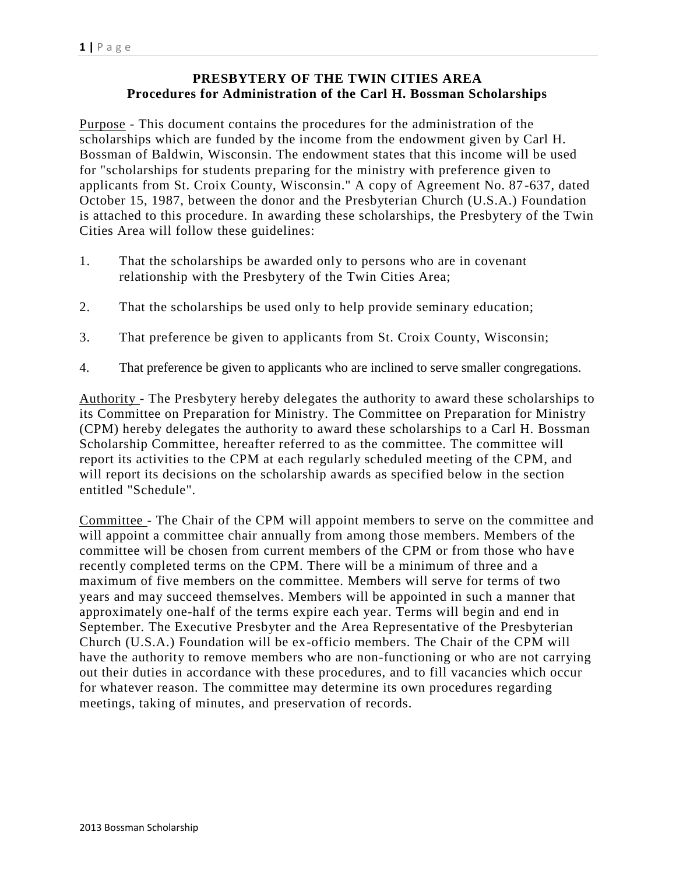## **PRESBYTERY OF THE TWIN CITIES AREA Procedures for Administration of the Carl H. Bossman Scholarships**

Purpose - This document contains the procedures for the administration of the scholarships which are funded by the income from the endowment given by Carl H. Bossman of Baldwin, Wisconsin. The endowment states that this income will be used for "scholarships for students preparing for the ministry with preference given to applicants from St. Croix County, Wisconsin." A copy of Agreement No. 87 -637, dated October 15, 1987, between the donor and the Presbyterian Church (U.S.A.) Foundation is attached to this procedure. In awarding these scholarships, the Presbytery of the Twin Cities Area will follow these guidelines:

- 1. That the scholarships be awarded only to persons who are in covenant relationship with the Presbytery of the Twin Cities Area;
- 2. That the scholarships be used only to help provide seminary education;
- 3. That preference be given to applicants from St. Croix County, Wisconsin;
- 4. That preference be given to applicants who are inclined to serve smaller congregations.

Authority - The Presbytery hereby delegates the authority to award these scholarships to its Committee on Preparation for Ministry. The Committee on Preparation for Ministry (CPM) hereby delegates the authority to award these scholarships to a Carl H. Bossman Scholarship Committee, hereafter referred to as the committee. The committee will report its activities to the CPM at each regularly scheduled meeting of the CPM, and will report its decisions on the scholarship awards as specified below in the section entitled "Schedule".

Committee - The Chair of the CPM will appoint members to serve on the committee and will appoint a committee chair annually from among those members. Members of the committee will be chosen from current members of the CPM or from those who have recently completed terms on the CPM. There will be a minimum of three and a maximum of five members on the committee. Members will serve for terms of two years and may succeed themselves. Members will be appointed in such a manner that approximately one-half of the terms expire each year. Terms will begin and end in September. The Executive Presbyter and the Area Representative of the Presbyterian Church (U.S.A.) Foundation will be ex-officio members. The Chair of the CPM will have the authority to remove members who are non-functioning or who are not carrying out their duties in accordance with these procedures, and to fill vacancies which occur for whatever reason. The committee may determine its own procedures regarding meetings, taking of minutes, and preservation of records.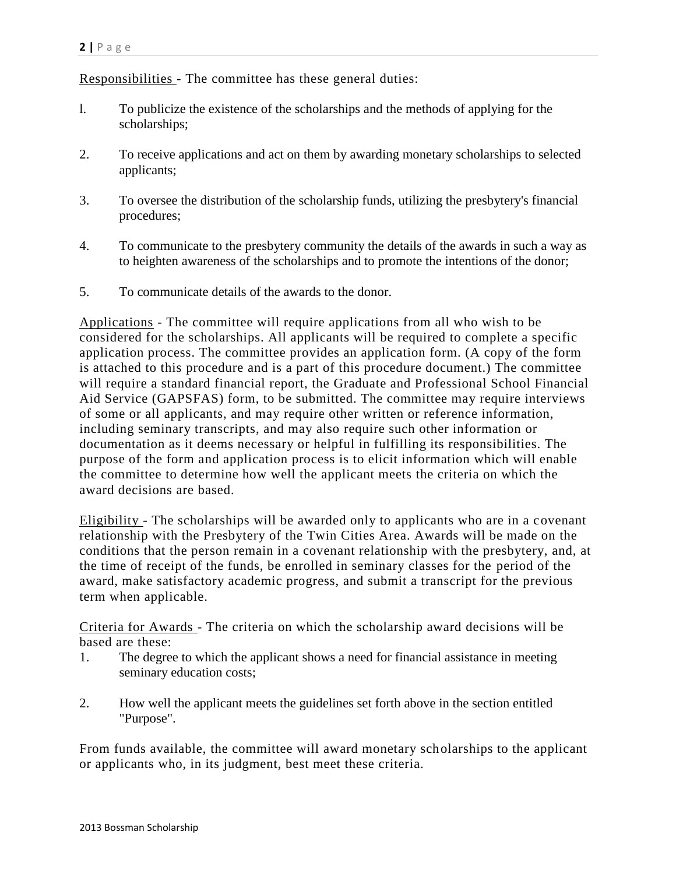Responsibilities - The committee has these general duties:

- l. To publicize the existence of the scholarships and the methods of applying for the scholarships;
- 2. To receive applications and act on them by awarding monetary scholarships to selected applicants;
- 3. To oversee the distribution of the scholarship funds, utilizing the presbytery's financial procedures;
- 4. To communicate to the presbytery community the details of the awards in such a way as to heighten awareness of the scholarships and to promote the intentions of the donor;
- 5. To communicate details of the awards to the donor.

Applications - The committee will require applications from all who wish to be considered for the scholarships. All applicants will be required to complete a specific application process. The committee provides an application form. (A copy of the form is attached to this procedure and is a part of this procedure document.) The committee will require a standard financial report, the Graduate and Professional School Financial Aid Service (GAPSFAS) form, to be submitted. The committee may require interviews of some or all applicants, and may require other written or reference information, including seminary transcripts, and may also require such other information or documentation as it deems necessary or helpful in fulfilling its responsibilities. The purpose of the form and application process is to elicit information which will enable the committee to determine how well the applicant meets the criteria on which the award decisions are based.

Eligibility - The scholarships will be awarded only to applicants who are in a covenant relationship with the Presbytery of the Twin Cities Area. Awards will be made on the conditions that the person remain in a covenant relationship with the presbytery, and, at the time of receipt of the funds, be enrolled in seminary classes for the period of the award, make satisfactory academic progress, and submit a transcript for the previous term when applicable.

Criteria for Awards - The criteria on which the scholarship award decisions will be based are these:

- 1. The degree to which the applicant shows a need for financial assistance in meeting seminary education costs;
- 2. How well the applicant meets the guidelines set forth above in the section entitled "Purpose".

From funds available, the committee will award monetary scholarships to the applicant or applicants who, in its judgment, best meet these criteria.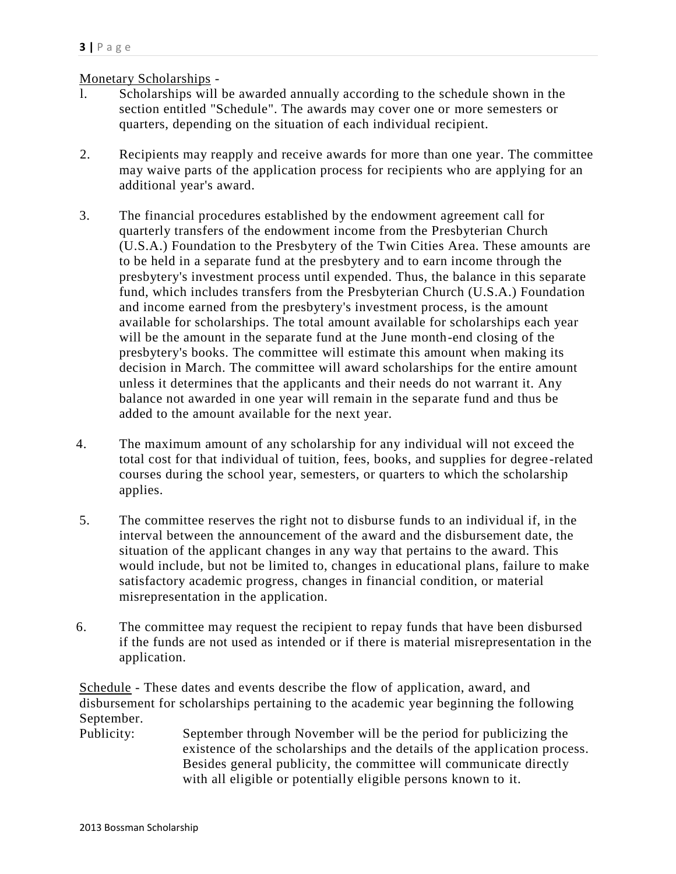## Monetary Scholarships -

- l. Scholarships will be awarded annually according to the schedule shown in the section entitled "Schedule". The awards may cover one or more semesters or quarters, depending on the situation of each individual recipient.
- 2. Recipients may reapply and receive awards for more than one year. The committee may waive parts of the application process for recipients who are applying for an additional year's award.
- 3. The financial procedures established by the endowment agreement call for quarterly transfers of the endowment income from the Presbyterian Church (U.S.A.) Foundation to the Presbytery of the Twin Cities Area. These amounts are to be held in a separate fund at the presbytery and to earn income through the presbytery's investment process until expended. Thus, the balance in this separate fund, which includes transfers from the Presbyterian Church (U.S.A.) Foundation and income earned from the presbytery's investment process, is the amount available for scholarships. The total amount available for scholarships each year will be the amount in the separate fund at the June month-end closing of the presbytery's books. The committee will estimate this amount when making its decision in March. The committee will award scholarships for the entire amount unless it determines that the applicants and their needs do not warrant it. Any balance not awarded in one year will remain in the separate fund and thus be added to the amount available for the next year.
- 4. The maximum amount of any scholarship for any individual will not exceed the total cost for that individual of tuition, fees, books, and supplies for degree -related courses during the school year, semesters, or quarters to which the scholarship applies.
- 5. The committee reserves the right not to disburse funds to an individual if, in the interval between the announcement of the award and the disbursement date, the situation of the applicant changes in any way that pertains to the award. This would include, but not be limited to, changes in educational plans, failure to make satisfactory academic progress, changes in financial condition, or material misrepresentation in the application.
- 6. The committee may request the recipient to repay funds that have been disbursed if the funds are not used as intended or if there is material misrepresentation in the application.

Schedule - These dates and events describe the flow of application, award, and disbursement for scholarships pertaining to the academic year beginning the following September.

Publicity: September through November will be the period for publicizing the existence of the scholarships and the details of the application process. Besides general publicity, the committee will communicate directly with all eligible or potentially eligible persons known to it.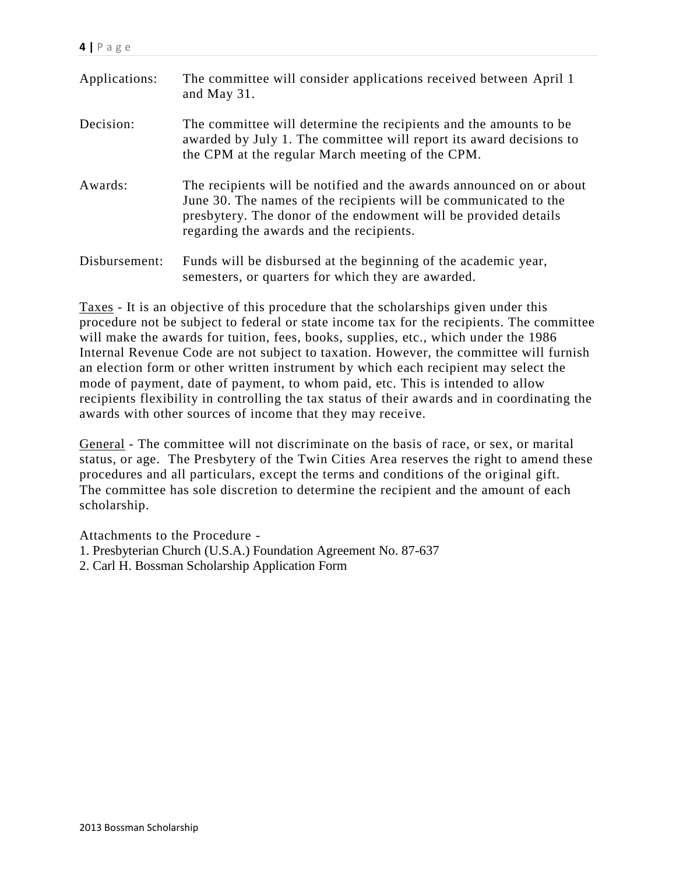| Applications: | The committee will consider applications received between April 1<br>and May 31.                                                                                                                                                                        |
|---------------|---------------------------------------------------------------------------------------------------------------------------------------------------------------------------------------------------------------------------------------------------------|
| Decision:     | The committee will determine the recipients and the amounts to be<br>awarded by July 1. The committee will report its award decisions to<br>the CPM at the regular March meeting of the CPM.                                                            |
| Awards:       | The recipients will be notified and the awards announced on or about<br>June 30. The names of the recipients will be communicated to the<br>presbytery. The donor of the endowment will be provided details<br>regarding the awards and the recipients. |
| Disbursement: | Funds will be disbursed at the beginning of the academic year,<br>semesters, or quarters for which they are awarded.                                                                                                                                    |

Taxes - It is an objective of this procedure that the scholarships given under this procedure not be subject to federal or state income tax for the recipients. The committee will make the awards for tuition, fees, books, supplies, etc., which under the 1986 Internal Revenue Code are not subject to taxation. However, the committee will furnish an election form or other written instrument by which each recipient may select the mode of payment, date of payment, to whom paid, etc. This is intended to allow recipients flexibility in controlling the tax status of their awards and in coordinating the awards with other sources of income that they may receive.

General - The committee will not discriminate on the basis of race, or sex, or marital status, or age. The Presbytery of the Twin Cities Area reserves the right to amend these procedures and all particulars, except the terms and conditions of the original gift. The committee has sole discretion to determine the recipient and the amount of each scholarship.

Attachments to the Procedure -

- 1. Presbyterian Church (U.S.A.) Foundation Agreement No. 87-637
- 2. Carl H. Bossman Scholarship Application Form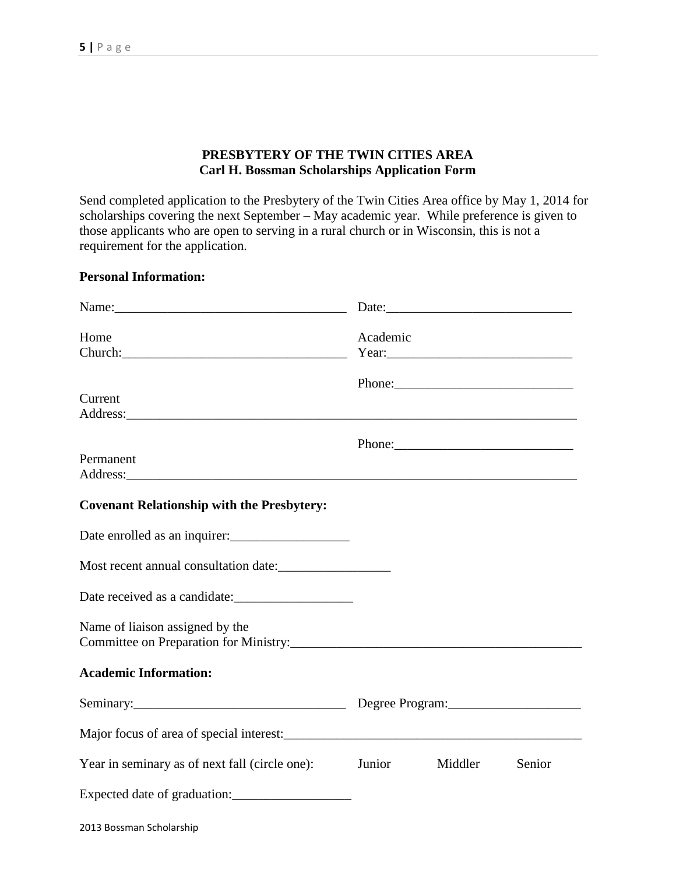## **PRESBYTERY OF THE TWIN CITIES AREA Carl H. Bossman Scholarships Application Form**

Send completed application to the Presbytery of the Twin Cities Area office by May 1, 2014 for scholarships covering the next September – May academic year. While preference is given to those applicants who are open to serving in a rural church or in Wisconsin, this is not a requirement for the application.

#### **Personal Information:**

| Home<br>Church: <u>Church: Church Church Church Church Church Church Church Church Church Church Church Church Church Church Church Church Church Church Church Church Church Church Church Church Church Church Church Church Church Ch</u> | Academic |         |        |
|----------------------------------------------------------------------------------------------------------------------------------------------------------------------------------------------------------------------------------------------|----------|---------|--------|
| Current<br>Address:                                                                                                                                                                                                                          |          |         |        |
| Permanent                                                                                                                                                                                                                                    |          |         |        |
| <b>Covenant Relationship with the Presbytery:</b>                                                                                                                                                                                            |          |         |        |
| Date enrolled as an inquirer:                                                                                                                                                                                                                |          |         |        |
| Most recent annual consultation date:                                                                                                                                                                                                        |          |         |        |
|                                                                                                                                                                                                                                              |          |         |        |
| Name of liaison assigned by the                                                                                                                                                                                                              |          |         |        |
| <b>Academic Information:</b>                                                                                                                                                                                                                 |          |         |        |
|                                                                                                                                                                                                                                              |          |         |        |
|                                                                                                                                                                                                                                              |          |         |        |
| Year in seminary as of next fall (circle one):                                                                                                                                                                                               | Junior   | Middler | Senior |
| Expected date of graduation:                                                                                                                                                                                                                 |          |         |        |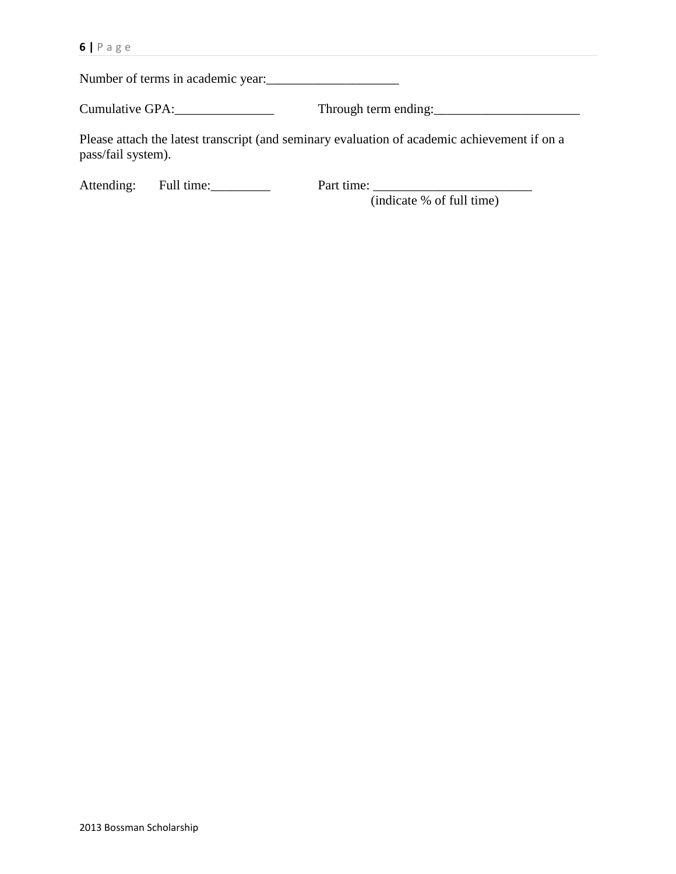Number of terms in academic year:\_\_\_\_\_\_\_\_\_\_\_\_\_\_\_\_\_\_\_\_

Cumulative GPA:\_\_\_\_\_\_\_\_\_\_\_\_\_\_\_ Through term ending:\_\_\_\_\_\_\_\_\_\_\_\_\_\_\_\_\_\_\_\_\_\_

Please attach the latest transcript (and seminary evaluation of academic achievement if on a pass/fail system).

Attending: Full time: Part time:

(indicate % of full time)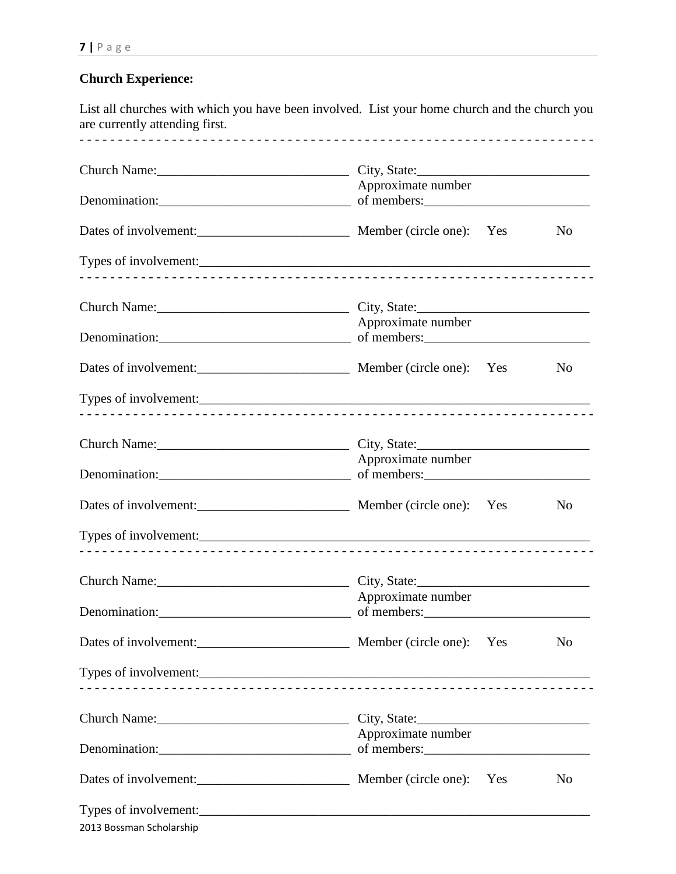## **Church Experience:**

List all churches with which you have been involved. List your home church and the church you are currently attending first. - - - - - - - - - - - - - - - - - - - - - - - - - - - - - - - - - - - - - - - - - - - - - - - - - - - - - - - - - - - - - - - - - - - Church Name:\_\_\_\_\_\_\_\_\_\_\_\_\_\_\_\_\_\_\_\_\_\_\_\_\_\_\_\_\_ City, State:\_\_\_\_\_\_\_\_\_\_\_\_\_\_\_\_\_\_\_\_\_\_\_\_\_\_ Approximate number Denomination:\_\_\_\_\_\_\_\_\_\_\_\_\_\_\_\_\_\_\_\_\_\_\_\_\_\_\_\_\_ of members:\_\_\_\_\_\_\_\_\_\_\_\_\_\_\_\_\_\_\_\_\_\_\_\_\_ Dates of involvement:\_\_\_\_\_\_\_\_\_\_\_\_\_\_\_\_\_\_\_\_\_\_\_ Member (circle one): Yes No Types of involvement:\_\_\_\_\_\_\_\_\_\_\_\_\_\_\_\_\_\_\_\_\_\_\_\_\_\_\_\_\_\_\_\_\_\_\_\_\_\_\_\_\_\_\_\_\_\_\_\_\_\_\_\_\_\_\_\_\_\_\_ - - - - - - - - - - - - - - - - - - - - - - - - - - - - - - - - - - - - - - - - - - - - - - - - - - - - - - - - - - - - - - - - - - - Church Name:\_\_\_\_\_\_\_\_\_\_\_\_\_\_\_\_\_\_\_\_\_\_\_\_\_\_\_\_\_ City, State:\_\_\_\_\_\_\_\_\_\_\_\_\_\_\_\_\_\_\_\_\_\_\_\_\_\_ Approximate number Denomination:\_\_\_\_\_\_\_\_\_\_\_\_\_\_\_\_\_\_\_\_\_\_\_\_\_\_\_\_\_ of members:\_\_\_\_\_\_\_\_\_\_\_\_\_\_\_\_\_\_\_\_\_\_\_\_\_ Dates of involvement: No and Member (circle one): Yes No Types of involvement:\_\_\_\_\_\_\_\_\_\_\_\_\_\_\_\_\_\_\_\_\_\_\_\_\_\_\_\_\_\_\_\_\_\_\_\_\_\_\_\_\_\_\_\_\_\_\_\_\_\_\_\_\_\_\_\_\_\_\_ - - - - - - - - - - - - - - - - - - - - - - - - - - - - - - - - - - - - - - - - - - - - - - - - - - - - - - - - - - - - - - - - - - - Church Name:\_\_\_\_\_\_\_\_\_\_\_\_\_\_\_\_\_\_\_\_\_\_\_\_\_\_\_\_\_ City, State:\_\_\_\_\_\_\_\_\_\_\_\_\_\_\_\_\_\_\_\_\_\_\_\_\_\_ Approximate number Denomination:\_\_\_\_\_\_\_\_\_\_\_\_\_\_\_\_\_\_\_\_\_\_\_\_\_\_\_\_\_ of members:\_\_\_\_\_\_\_\_\_\_\_\_\_\_\_\_\_\_\_\_\_\_\_\_\_ Dates of involvement:<br>No Member (circle one): Yes No Types of involvement:\_\_\_\_\_\_\_\_\_\_\_\_\_\_\_\_\_\_\_\_\_\_\_\_\_\_\_\_\_\_\_\_\_\_\_\_\_\_\_\_\_\_\_\_\_\_\_\_\_\_\_\_\_\_\_\_\_\_\_ - - - - - - - - - - - - - - - - - - - - - - - - - - - - - - - - - - - - - - - - - - - - - - - - - - - - - - - - - - - - - - - - - - - Church Name:\_\_\_\_\_\_\_\_\_\_\_\_\_\_\_\_\_\_\_\_\_\_\_\_\_\_\_\_\_ City, State:\_\_\_\_\_\_\_\_\_\_\_\_\_\_\_\_\_\_\_\_\_\_\_\_\_\_ Approximate number Denomination:\_\_\_\_\_\_\_\_\_\_\_\_\_\_\_\_\_\_\_\_\_\_\_\_\_\_\_\_\_ of members:\_\_\_\_\_\_\_\_\_\_\_\_\_\_\_\_\_\_\_\_\_\_\_\_\_

| Dates of involvement:    | Member (circle one): Yes | N <sub>0</sub> |
|--------------------------|--------------------------|----------------|
|                          |                          |                |
| Church Name: 2008        | City, State:             |                |
|                          | Approximate number       |                |
| Dates of involvement:    | Member (circle one): Yes | N <sub>0</sub> |
| Types of involvement:    |                          |                |
| 2013 Bossman Scholarship |                          |                |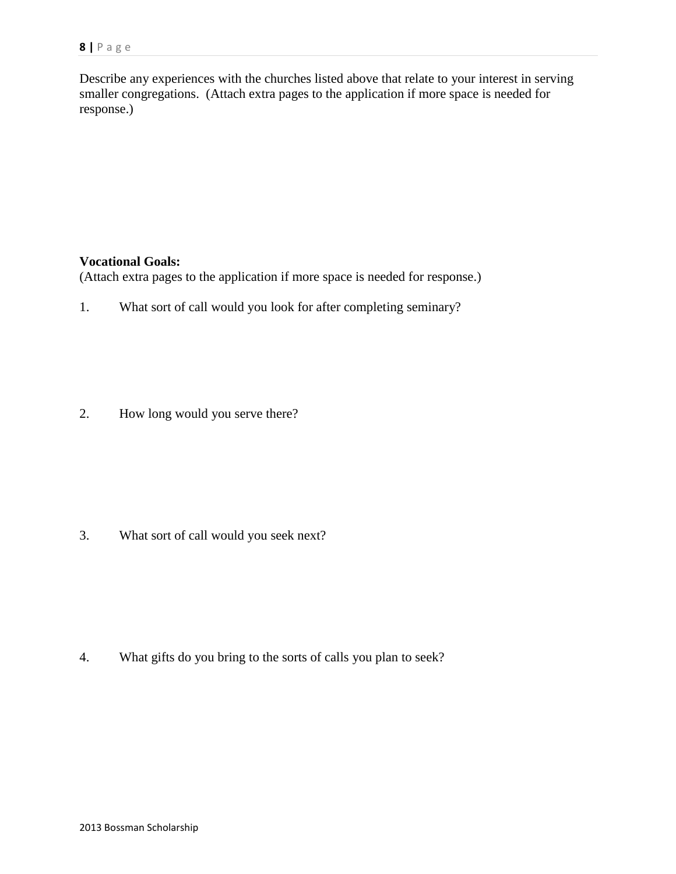Describe any experiences with the churches listed above that relate to your interest in serving smaller congregations. (Attach extra pages to the application if more space is needed for response.)

#### **Vocational Goals:**

(Attach extra pages to the application if more space is needed for response.)

1. What sort of call would you look for after completing seminary?

2. How long would you serve there?

3. What sort of call would you seek next?

4. What gifts do you bring to the sorts of calls you plan to seek?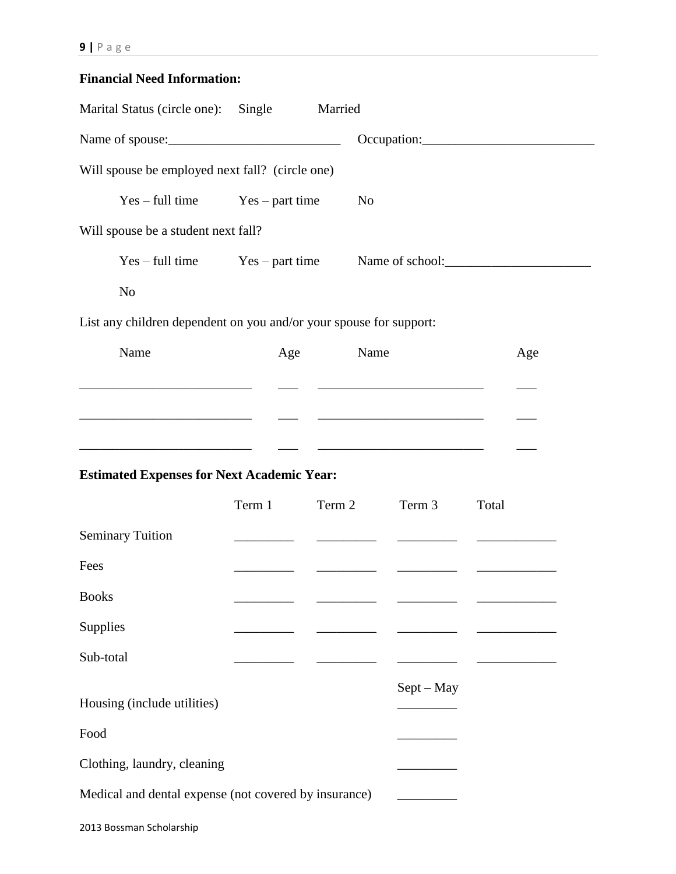# **Financial Need Information:**

| Marital Status (circle one): Single                                                                                  |        | Married |                                                                                                                                                                                                                                      |       |
|----------------------------------------------------------------------------------------------------------------------|--------|---------|--------------------------------------------------------------------------------------------------------------------------------------------------------------------------------------------------------------------------------------|-------|
|                                                                                                                      |        |         |                                                                                                                                                                                                                                      |       |
| Will spouse be employed next fall? (circle one)                                                                      |        |         |                                                                                                                                                                                                                                      |       |
| $Yes - full time$ $Yes - part time$                                                                                  |        |         | N <sub>o</sub>                                                                                                                                                                                                                       |       |
| Will spouse be a student next fall?                                                                                  |        |         |                                                                                                                                                                                                                                      |       |
| $Yes - full time$ $Yes - part time$                                                                                  |        |         |                                                                                                                                                                                                                                      |       |
| N <sub>o</sub>                                                                                                       |        |         |                                                                                                                                                                                                                                      |       |
| List any children dependent on you and/or your spouse for support:                                                   |        |         |                                                                                                                                                                                                                                      |       |
| Name                                                                                                                 | Age    |         | Name                                                                                                                                                                                                                                 | Age   |
|                                                                                                                      |        |         |                                                                                                                                                                                                                                      |       |
|                                                                                                                      |        |         |                                                                                                                                                                                                                                      |       |
| <u> 1989 - Johann Barn, mars eta bat erroman erroman erroman erroman erroman erroman erroman erroman erroman err</u> |        |         | <u> 2000 - John Harry Harry Harry Harry Harry Harry Harry Harry Harry Harry Harry Harry Harry Harry Harry Harry Harry Harry Harry Harry Harry Harry Harry Harry Harry Harry Harry Harry Harry Harry Harry Harry Harry Harry Harr</u> |       |
| <b>Estimated Expenses for Next Academic Year:</b>                                                                    |        |         |                                                                                                                                                                                                                                      |       |
|                                                                                                                      | Term 1 | Term 2  | Term 3                                                                                                                                                                                                                               | Total |
| <b>Seminary Tuition</b>                                                                                              |        |         |                                                                                                                                                                                                                                      |       |
| Fees                                                                                                                 |        |         |                                                                                                                                                                                                                                      |       |
| <b>Books</b>                                                                                                         |        |         |                                                                                                                                                                                                                                      |       |
| Supplies                                                                                                             |        |         |                                                                                                                                                                                                                                      |       |
| Sub-total                                                                                                            |        |         |                                                                                                                                                                                                                                      |       |
| Housing (include utilities)                                                                                          |        |         | $Sept - May$                                                                                                                                                                                                                         |       |
| Food                                                                                                                 |        |         |                                                                                                                                                                                                                                      |       |
| Clothing, laundry, cleaning                                                                                          |        |         |                                                                                                                                                                                                                                      |       |
| Medical and dental expense (not covered by insurance)                                                                |        |         |                                                                                                                                                                                                                                      |       |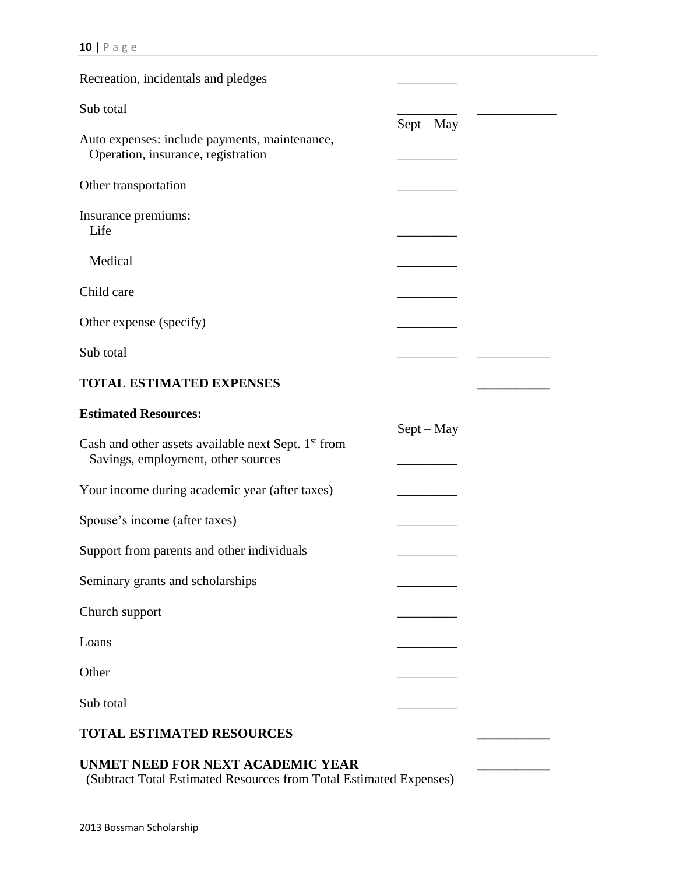| Recreation, incidentals and pledges                                                       |              |  |
|-------------------------------------------------------------------------------------------|--------------|--|
| Sub total                                                                                 | $Sept - May$ |  |
| Auto expenses: include payments, maintenance,<br>Operation, insurance, registration       |              |  |
| Other transportation                                                                      |              |  |
| Insurance premiums:<br>Life                                                               |              |  |
| Medical                                                                                   |              |  |
| Child care                                                                                |              |  |
| Other expense (specify)                                                                   |              |  |
| Sub total                                                                                 |              |  |
| <b>TOTAL ESTIMATED EXPENSES</b>                                                           |              |  |
| <b>Estimated Resources:</b>                                                               |              |  |
| Cash and other assets available next Sept. 1st from<br>Savings, employment, other sources | $Sept - May$ |  |
| Your income during academic year (after taxes)                                            |              |  |
| Spouse's income (after taxes)                                                             |              |  |
| Support from parents and other individuals                                                |              |  |
| Seminary grants and scholarships                                                          |              |  |
| Church support                                                                            |              |  |
| Loans                                                                                     |              |  |
| Other                                                                                     |              |  |
| Sub total                                                                                 |              |  |
| <b>TOTAL ESTIMATED RESOURCES</b>                                                          |              |  |
| UNMET NEED FOR NEXT ACADEMIC YEAR                                                         |              |  |

(Subtract Total Estimated Resources from Total Estimated Expenses)